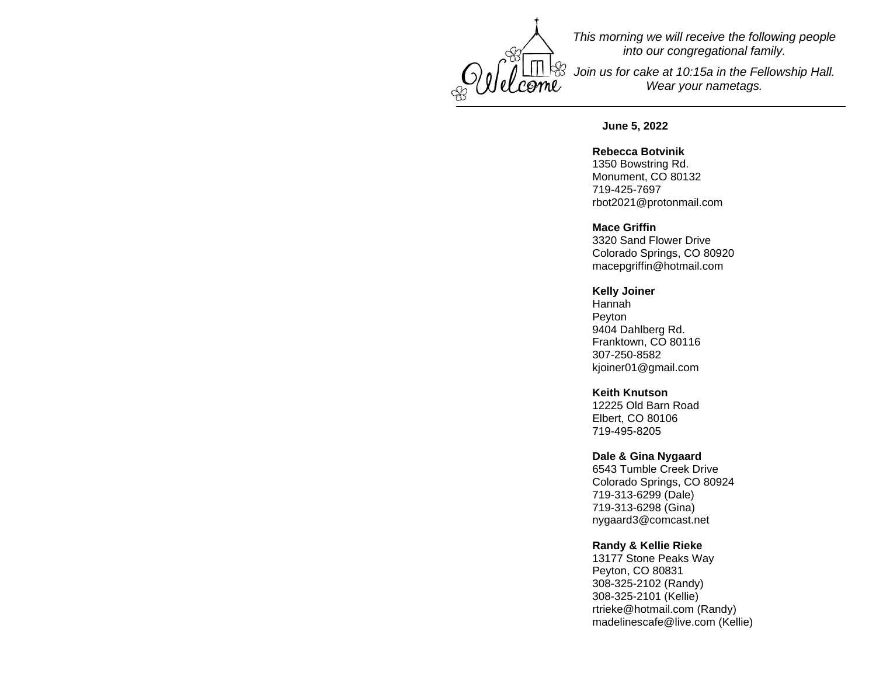

*This morning we will receive the following people into our congregational family.*

*Join us for cake at 10:15a in the Fellowship Hall. Wear your nametags.*

### **June 5, 2022**

#### **Rebecca Botvinik**

1350 Bowstring Rd. Monument, CO 80132 719-425-7697 [rbot2021@protonmail.com](mailto:rbot2021@protonmail.com)

#### **Mace Griffin**

3320 Sand Flower Drive Colorado Springs, CO 80920 [macepgriffin@hotmail.com](mailto:macepgriffin@hotmail.com)

# **Kelly Joiner**

Hannah Peyton 9404 Dahlberg Rd. Franktown, CO 80116 307-250-8582 [kjoiner01@gmail.com](mailto:kjoiner01@gmail.com)

#### **Keith Knutson**

12225 Old Barn Road Elbert, CO 80106 719-495-8205

### **Dale & Gina Nygaard**

6543 Tumble Creek Drive Colorado Springs, CO 80924 719-313-6299 (Dale) 719-313-6298 (Gina) [nygaard3@comcast.net](mailto:nygaard3@comcast.net)

### **Randy & Kellie Rieke**

13177 Stone Peaks Way Peyton, CO 80831 308-325-2102 (Randy) 308-325-2101 (Kellie) [rtrieke@hotmail.com](mailto:rtrieke@hotmail.com) (Randy) [madelinescafe@live.com](mailto:madelinescafe@live.com) (Kellie)